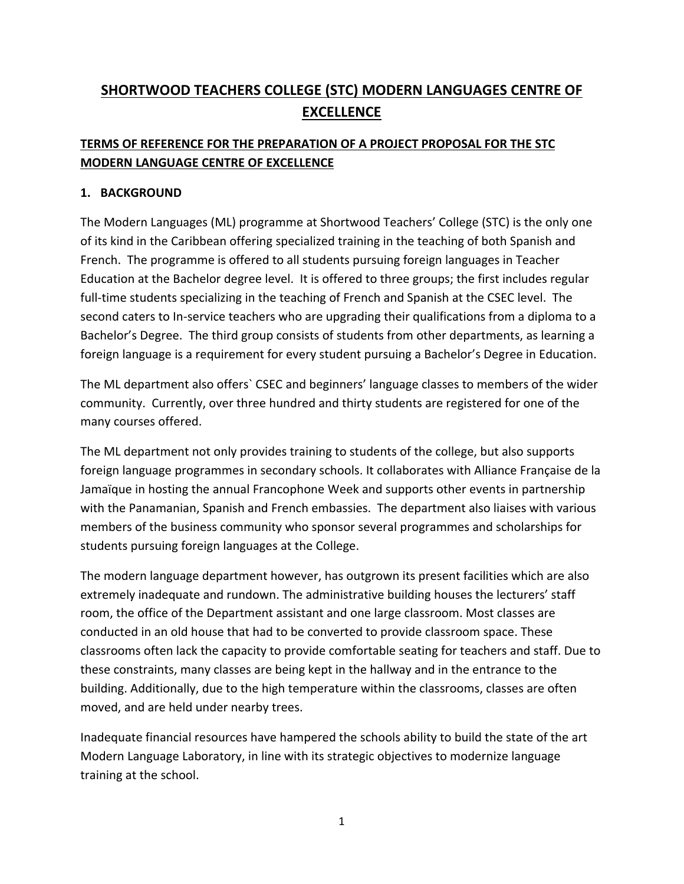# **SHORTWOOD TEACHERS COLLEGE (STC) MODERN LANGUAGES CENTRE OF EXCELLENCE**

# **TERMS OF REFERENCE FOR THE PREPARATION OF A PROJECT PROPOSAL FOR THE STC MODERN LANGUAGE CENTRE OF EXCELLENCE**

# **1. BACKGROUND**

The Modern Languages (ML) programme at Shortwood Teachers' College (STC) is the only one of its kind in the Caribbean offering specialized training in the teaching of both Spanish and French. The programme is offered to all students pursuing foreign languages in Teacher Education at the Bachelor degree level. It is offered to three groups; the first includes regular full-time students specializing in the teaching of French and Spanish at the CSEC level. The second caters to In-service teachers who are upgrading their qualifications from a diploma to a Bachelor's Degree. The third group consists of students from other departments, as learning a foreign language is a requirement for every student pursuing a Bachelor's Degree in Education.

The ML department also offers` CSEC and beginners' language classes to members of the wider community. Currently, over three hundred and thirty students are registered for one of the many courses offered.

The ML department not only provides training to students of the college, but also supports foreign language programmes in secondary schools. It collaborates with Alliance Française de la Jamaïque in hosting the annual Francophone Week and supports other events in partnership with the Panamanian, Spanish and French embassies. The department also liaises with various members of the business community who sponsor several programmes and scholarships for students pursuing foreign languages at the College.

The modern language department however, has outgrown its present facilities which are also extremely inadequate and rundown. The administrative building houses the lecturers' staff room, the office of the Department assistant and one large classroom. Most classes are conducted in an old house that had to be converted to provide classroom space. These classrooms often lack the capacity to provide comfortable seating for teachers and staff. Due to these constraints, many classes are being kept in the hallway and in the entrance to the building. Additionally, due to the high temperature within the classrooms, classes are often moved, and are held under nearby trees.

Inadequate financial resources have hampered the schools ability to build the state of the art Modern Language Laboratory, in line with its strategic objectives to modernize language training at the school.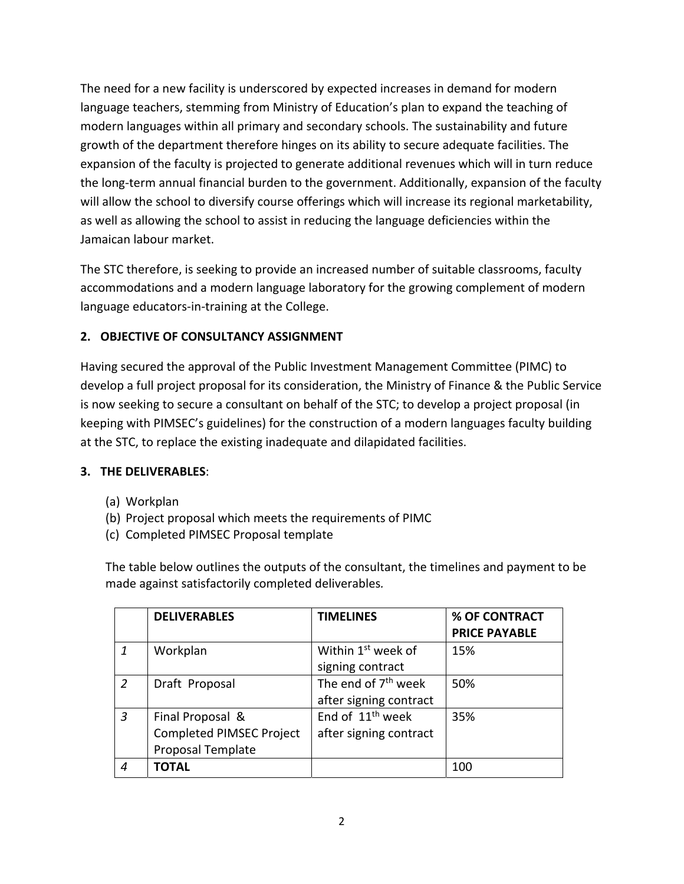The need for a new facility is underscored by expected increases in demand for modern language teachers, stemming from Ministry of Education's plan to expand the teaching of modern languages within all primary and secondary schools. The sustainability and future growth of the department therefore hinges on its ability to secure adequate facilities. The expansion of the faculty is projected to generate additional revenues which will in turn reduce the long‐term annual financial burden to the government. Additionally, expansion of the faculty will allow the school to diversify course offerings which will increase its regional marketability, as well as allowing the school to assist in reducing the language deficiencies within the Jamaican labour market.

The STC therefore, is seeking to provide an increased number of suitable classrooms, faculty accommodations and a modern language laboratory for the growing complement of modern language educators‐in‐training at the College.

# **2. OBJECTIVE OF CONSULTANCY ASSIGNMENT**

Having secured the approval of the Public Investment Management Committee (PIMC) to develop a full project proposal for its consideration, the Ministry of Finance & the Public Service is now seeking to secure a consultant on behalf of the STC; to develop a project proposal (in keeping with PIMSEC's guidelines) for the construction of a modern languages faculty building at the STC, to replace the existing inadequate and dilapidated facilities.

# **3. THE DELIVERABLES**:

- (a) Workplan
- (b) Project proposal which meets the requirements of PIMC
- (c) Completed PIMSEC Proposal template

The table below outlines the outputs of the consultant, the timelines and payment to be made against satisfactorily completed deliverables*.*

|                | <b>DELIVERABLES</b>             | <b>TIMELINES</b>                | % OF CONTRACT        |
|----------------|---------------------------------|---------------------------------|----------------------|
|                |                                 |                                 | <b>PRICE PAYABLE</b> |
|                | Workplan                        | Within 1 <sup>st</sup> week of  | 15%                  |
|                |                                 | signing contract                |                      |
| 2              | Draft Proposal                  | The end of 7 <sup>th</sup> week | 50%                  |
|                |                                 | after signing contract          |                      |
| $\overline{3}$ | Final Proposal &                | End of 11 <sup>th</sup> week    | 35%                  |
|                | <b>Completed PIMSEC Project</b> | after signing contract          |                      |
|                | Proposal Template               |                                 |                      |
| 4              | <b>TOTAL</b>                    |                                 | 100                  |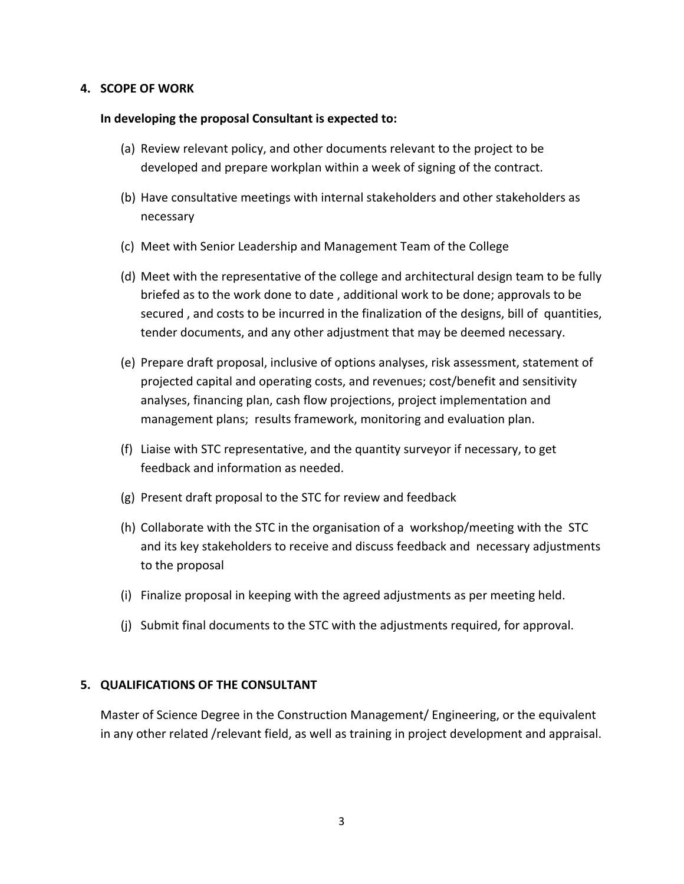## **4. SCOPE OF WORK**

#### **In developing the proposal Consultant is expected to:**

- (a) Review relevant policy, and other documents relevant to the project to be developed and prepare workplan within a week of signing of the contract.
- (b) Have consultative meetings with internal stakeholders and other stakeholders as necessary
- (c) Meet with Senior Leadership and Management Team of the College
- (d) Meet with the representative of the college and architectural design team to be fully briefed as to the work done to date , additional work to be done; approvals to be secured , and costs to be incurred in the finalization of the designs, bill of quantities, tender documents, and any other adjustment that may be deemed necessary.
- (e) Prepare draft proposal, inclusive of options analyses, risk assessment, statement of projected capital and operating costs, and revenues; cost/benefit and sensitivity analyses, financing plan, cash flow projections, project implementation and management plans; results framework, monitoring and evaluation plan.
- (f) Liaise with STC representative, and the quantity surveyor if necessary, to get feedback and information as needed.
- (g) Present draft proposal to the STC for review and feedback
- (h) Collaborate with the STC in the organisation of a workshop/meeting with the STC and its key stakeholders to receive and discuss feedback and necessary adjustments to the proposal
- (i) Finalize proposal in keeping with the agreed adjustments as per meeting held.
- (j) Submit final documents to the STC with the adjustments required, for approval.

#### **5. QUALIFICATIONS OF THE CONSULTANT**

Master of Science Degree in the Construction Management/ Engineering, or the equivalent in any other related /relevant field, as well as training in project development and appraisal.